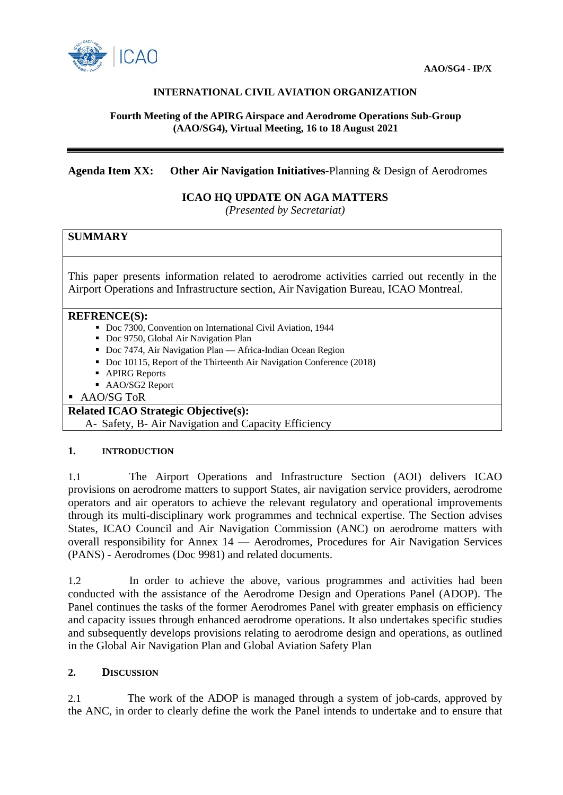

## **INTERNATIONAL CIVIL AVIATION ORGANIZATION**

### **Fourth Meeting of the APIRG Airspace and Aerodrome Operations Sub-Group (AAO/SG4), Virtual Meeting, 16 to 18 August 2021**

### **Agenda Item XX: Other Air Navigation Initiatives-**Planning & Design of Aerodromes

# **ICAO HQ UPDATE ON AGA MATTERS**

*(Presented by Secretariat)*

## **SUMMARY**

This paper presents information related to aerodrome activities carried out recently in the Airport Operations and Infrastructure section, Air Navigation Bureau, ICAO Montreal.

#### **REFRENCE(S):**

- Doc 7300, Convention on International Civil Aviation, 1944
- Doc 9750, Global Air Navigation Plan
- Doc 7474, Air Navigation Plan Africa-Indian Ocean Region
- Doc 10115, Report of the Thirteenth Air Navigation Conference (2018)
- APIRG Reports
- AAO/SG2 Report

■ AAO/SG ToR

## **Related ICAO Strategic Objective(s):**

A- Safety, B- Air Navigation and Capacity Efficiency

#### **1. INTRODUCTION**

1.1 The Airport Operations and Infrastructure Section (AOI) delivers ICAO provisions on aerodrome matters to support States, air navigation service providers, aerodrome operators and air operators to achieve the relevant regulatory and operational improvements through its multi-disciplinary work programmes and technical expertise. The Section advises States, ICAO Council and Air Navigation Commission (ANC) on aerodrome matters with overall responsibility for Annex 14 — Aerodromes, Procedures for Air Navigation Services (PANS) - Aerodromes (Doc 9981) and related documents.

1.2 In order to achieve the above, various programmes and activities had been conducted with the assistance of the Aerodrome Design and Operations Panel (ADOP). The Panel continues the tasks of the former Aerodromes Panel with greater emphasis on efficiency and capacity issues through enhanced aerodrome operations. It also undertakes specific studies and subsequently develops provisions relating to aerodrome design and operations, as outlined in the Global Air Navigation Plan and Global Aviation Safety Plan

### **2. DISCUSSION**

2.1 The work of the ADOP is managed through a system of job-cards, approved by the ANC, in order to clearly define the work the Panel intends to undertake and to ensure that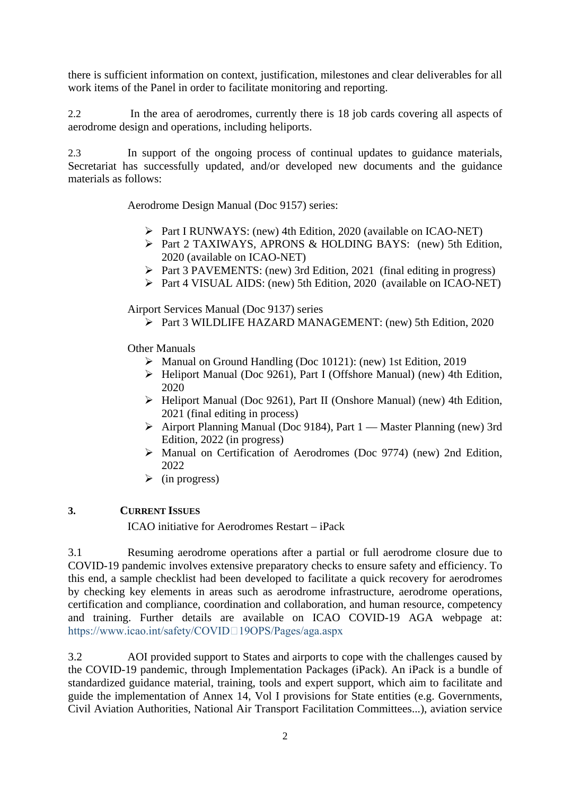there is sufficient information on context, justification, milestones and clear deliverables for all work items of the Panel in order to facilitate monitoring and reporting.

2.2 In the area of aerodromes, currently there is 18 job cards covering all aspects of aerodrome design and operations, including heliports.

2.3 In support of the ongoing process of continual updates to guidance materials, Secretariat has successfully updated, and/or developed new documents and the guidance materials as follows:

Aerodrome Design Manual (Doc 9157) series:

- Part I RUNWAYS: (new) 4th Edition, 2020 (available on ICAO-NET)
- Part 2 TAXIWAYS, APRONS & HOLDING BAYS: (new) 5th Edition, 2020 (available on ICAO-NET)
- Part 3 PAVEMENTS: (new) 3rd Edition, 2021 (final editing in progress)
- Part 4 VISUAL AIDS: (new) 5th Edition, 2020 (available on ICAO-NET)

Airport Services Manual (Doc 9137) series

Part 3 WILDLIFE HAZARD MANAGEMENT: (new) 5th Edition, 2020

Other Manuals

- Manual on Ground Handling (Doc 10121): (new) 1st Edition, 2019
- Heliport Manual (Doc 9261), Part I (Offshore Manual) (new) 4th Edition, 2020
- Heliport Manual (Doc 9261), Part II (Onshore Manual) (new) 4th Edition, 2021 (final editing in process)
- Airport Planning Manual (Doc 9184), Part 1 Master Planning (new) 3rd Edition, 2022 (in progress)
- Manual on Certification of Aerodromes (Doc 9774) (new) 2nd Edition, 2022
- $\triangleright$  (in progress)

### **3. CURRENT ISSUES**

ICAO initiative for Aerodromes Restart – iPack

3.1 Resuming aerodrome operations after a partial or full aerodrome closure due to COVID-19 pandemic involves extensive preparatory checks to ensure safety and efficiency. To this end, a sample checklist had been developed to facilitate a quick recovery for aerodromes by checking key elements in areas such as aerodrome infrastructure, aerodrome operations, certification and compliance, coordination and collaboration, and human resource, competency and training. Further details are available on ICAO COVID-19 AGA webpage at: https://www.icao.int/safety/COVID<sup>[19</sup>OPS/Pages/aga.aspx

3.2 AOI provided support to States and airports to cope with the challenges caused by the COVID-19 pandemic, through Implementation Packages (iPack). An iPack is a bundle of standardized guidance material, training, tools and expert support, which aim to facilitate and guide the implementation of Annex 14, Vol I provisions for State entities (e.g. Governments, Civil Aviation Authorities, National Air Transport Facilitation Committees...), aviation service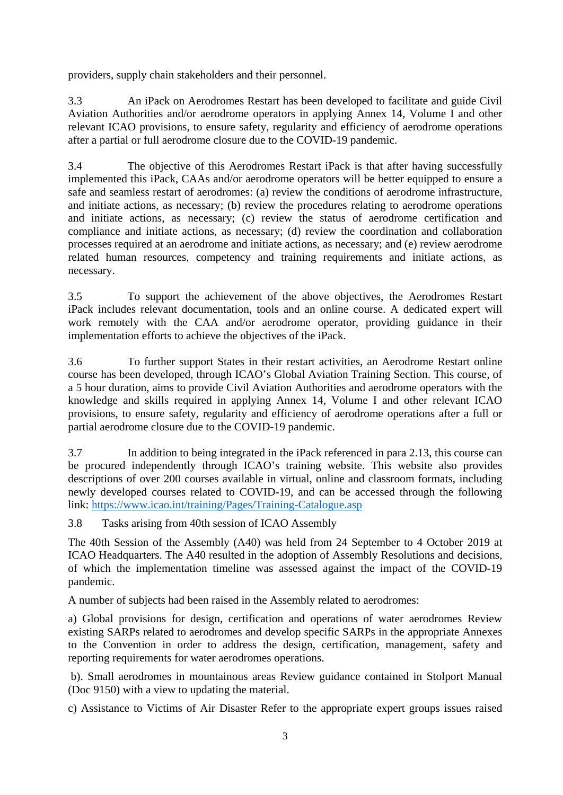providers, supply chain stakeholders and their personnel.

3.3 An iPack on Aerodromes Restart has been developed to facilitate and guide Civil Aviation Authorities and/or aerodrome operators in applying Annex 14, Volume I and other relevant ICAO provisions, to ensure safety, regularity and efficiency of aerodrome operations after a partial or full aerodrome closure due to the COVID-19 pandemic.

3.4 The objective of this Aerodromes Restart iPack is that after having successfully implemented this iPack, CAAs and/or aerodrome operators will be better equipped to ensure a safe and seamless restart of aerodromes: (a) review the conditions of aerodrome infrastructure, and initiate actions, as necessary; (b) review the procedures relating to aerodrome operations and initiate actions, as necessary; (c) review the status of aerodrome certification and compliance and initiate actions, as necessary; (d) review the coordination and collaboration processes required at an aerodrome and initiate actions, as necessary; and (e) review aerodrome related human resources, competency and training requirements and initiate actions, as necessary.

3.5 To support the achievement of the above objectives, the Aerodromes Restart iPack includes relevant documentation, tools and an online course. A dedicated expert will work remotely with the CAA and/or aerodrome operator, providing guidance in their implementation efforts to achieve the objectives of the iPack.

3.6 To further support States in their restart activities, an Aerodrome Restart online course has been developed, through ICAO's Global Aviation Training Section. This course, of a 5 hour duration, aims to provide Civil Aviation Authorities and aerodrome operators with the knowledge and skills required in applying Annex 14, Volume I and other relevant ICAO provisions, to ensure safety, regularity and efficiency of aerodrome operations after a full or partial aerodrome closure due to the COVID-19 pandemic.

3.7 In addition to being integrated in the iPack referenced in para 2.13, this course can be procured independently through ICAO's training website. This website also provides descriptions of over 200 courses available in virtual, online and classroom formats, including newly developed courses related to COVID-19, and can be accessed through the following link:<https://www.icao.int/training/Pages/Training-Catalogue.asp>

3.8 Tasks arising from 40th session of ICAO Assembly

The 40th Session of the Assembly (A40) was held from 24 September to 4 October 2019 at ICAO Headquarters. The A40 resulted in the adoption of Assembly Resolutions and decisions, of which the implementation timeline was assessed against the impact of the COVID-19 pandemic.

A number of subjects had been raised in the Assembly related to aerodromes:

a) Global provisions for design, certification and operations of water aerodromes Review existing SARPs related to aerodromes and develop specific SARPs in the appropriate Annexes to the Convention in order to address the design, certification, management, safety and reporting requirements for water aerodromes operations.

b). Small aerodromes in mountainous areas Review guidance contained in Stolport Manual (Doc 9150) with a view to updating the material.

c) Assistance to Victims of Air Disaster Refer to the appropriate expert groups issues raised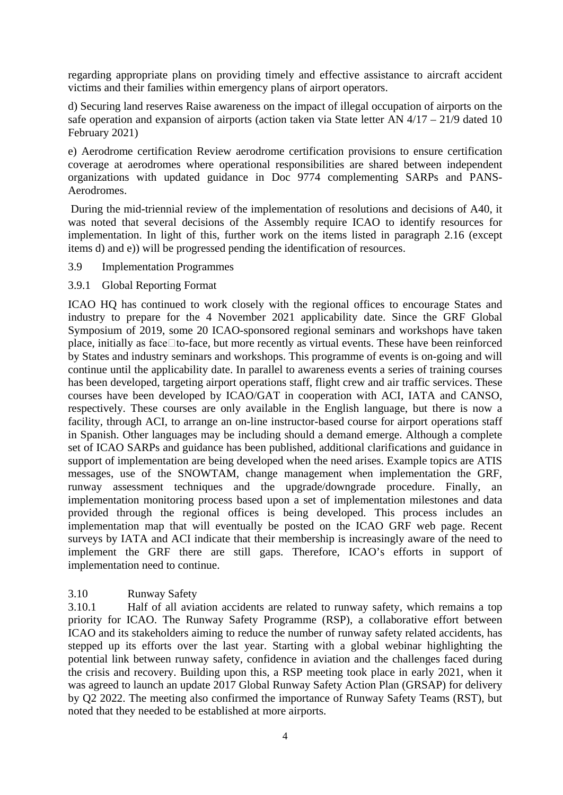regarding appropriate plans on providing timely and effective assistance to aircraft accident victims and their families within emergency plans of airport operators.

d) Securing land reserves Raise awareness on the impact of illegal occupation of airports on the safe operation and expansion of airports (action taken via State letter AN  $4/17 - 21/9$  dated 10 February 2021)

e) Aerodrome certification Review aerodrome certification provisions to ensure certification coverage at aerodromes where operational responsibilities are shared between independent organizations with updated guidance in Doc 9774 complementing SARPs and PANS-Aerodromes.

During the mid-triennial review of the implementation of resolutions and decisions of A40, it was noted that several decisions of the Assembly require ICAO to identify resources for implementation. In light of this, further work on the items listed in paragraph 2.16 (except items d) and e)) will be progressed pending the identification of resources.

### 3.9 Implementation Programmes

3.9.1 Global Reporting Format

ICAO HQ has continued to work closely with the regional offices to encourage States and industry to prepare for the 4 November 2021 applicability date. Since the GRF Global Symposium of 2019, some 20 ICAO-sponsored regional seminars and workshops have taken place, initially as face $\Box$  to-face, but more recently as virtual events. These have been reinforced by States and industry seminars and workshops. This programme of events is on-going and will continue until the applicability date. In parallel to awareness events a series of training courses has been developed, targeting airport operations staff, flight crew and air traffic services. These courses have been developed by ICAO/GAT in cooperation with ACI, IATA and CANSO, respectively. These courses are only available in the English language, but there is now a facility, through ACI, to arrange an on-line instructor-based course for airport operations staff in Spanish. Other languages may be including should a demand emerge. Although a complete set of ICAO SARPs and guidance has been published, additional clarifications and guidance in support of implementation are being developed when the need arises. Example topics are ATIS messages, use of the SNOWTAM, change management when implementation the GRF, runway assessment techniques and the upgrade/downgrade procedure. Finally, an implementation monitoring process based upon a set of implementation milestones and data provided through the regional offices is being developed. This process includes an implementation map that will eventually be posted on the ICAO GRF web page. Recent surveys by IATA and ACI indicate that their membership is increasingly aware of the need to implement the GRF there are still gaps. Therefore, ICAO's efforts in support of implementation need to continue.

### 3.10 Runway Safety

3.10.1 Half of all aviation accidents are related to runway safety, which remains a top priority for ICAO. The Runway Safety Programme (RSP), a collaborative effort between ICAO and its stakeholders aiming to reduce the number of runway safety related accidents, has stepped up its efforts over the last year. Starting with a global webinar highlighting the potential link between runway safety, confidence in aviation and the challenges faced during the crisis and recovery. Building upon this, a RSP meeting took place in early 2021, when it was agreed to launch an update 2017 Global Runway Safety Action Plan (GRSAP) for delivery by Q2 2022. The meeting also confirmed the importance of Runway Safety Teams (RST), but noted that they needed to be established at more airports.